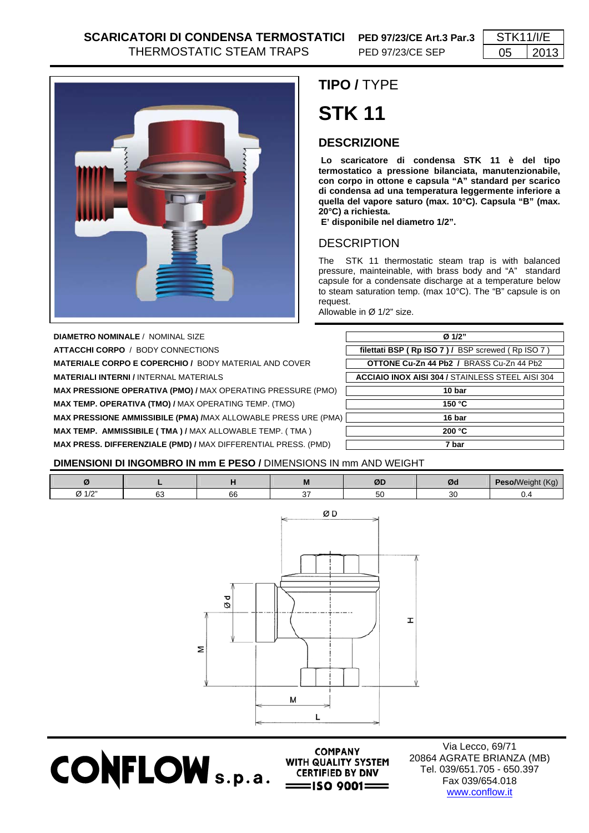

## **TIPO /** TYPE **STK 11**

## **DESCRIZIONE**

 **Lo scaricatore di condensa STK 11 è del tipo termostatico a pressione bilanciata, manutenzionabile, con corpo in ottone e capsula "A" standard per scarico di condensa ad una temperatura leggermente inferiore a quella del vapore saturo (max. 10°C). Capsula "B" (max. 20°C) a richiesta.** 

 **E' disponibile nel diametro 1/2".** 

## DESCRIPTION

The STK 11 thermostatic steam trap is with balanced pressure, mainteinable, with brass body and "A" standard capsule for a condensate discharge at a temperature below to steam saturation temp. (max 10°C). The "B" capsule is on request.

Allowable in Ø 1/2" size.

**DIAMETRO NOMINALE** / NOMINAL SIZE **ATTACCHI CORPO / BODY CONNECTIONS MATERIALE CORPO E COPERCHIO / BODY MATERIAL AND COVER MATERIALI INTERNI / INTERNAL MATERIALS MAX PRESSIONE OPERATIVA (PMO) / MAX OPERATING PRESSURE (PMO) MAX TEMP. OPERATIVA (TMO) / MAX OPERATING TEMP. (TMO) MAX PRESSIONE AMMISSIBILE (PMA) /MAX ALLOWABLE PRESS URE (PMA) MAX TEMP. AMMISSIBILE ( TMA ) / MAX ALLOWABLE TEMP. ( TMA ) MAX PRESS. DIFFERENZIALE (PMD) /** MAX DIFFERENTIAL PRESS. (PMD) **7 bar** 

| Ø 1/2"                                                  |  |  |  |  |
|---------------------------------------------------------|--|--|--|--|
| filettati BSP (Rp ISO 7) / BSP screwed (Rp ISO 7)       |  |  |  |  |
| <b>OTTONE Cu-Zn 44 Pb2 / BRASS Cu-Zn 44 Pb2</b>         |  |  |  |  |
| <b>ACCIAIO INOX AISI 304 / STAINLESS STEEL AISI 304</b> |  |  |  |  |
| 10 bar                                                  |  |  |  |  |
| 150 $°C$                                                |  |  |  |  |
| 16 bar                                                  |  |  |  |  |
| 200 °C                                                  |  |  |  |  |
| 7 bar                                                   |  |  |  |  |

## **DIMENSIONI DI INGOMBRO IN mm E PESO /** DIMENSIONS IN mm AND WEIGHT

**CONFLOW** S.p.a. CERTIFIED BY DNV

|                      |              |              | M  | ØI<br>. .  | Ød           | $\sim$<br>ישי |
|----------------------|--------------|--------------|----|------------|--------------|---------------|
| $\sim$<br>$\sqrt{ }$ | $\sim$<br>ັບ | $\sim$<br>oo | -- | $ -$<br>эu | $\sim$<br>ັບ |               |



**COMPANY** WITH QUALITY SYSTEM

Via Lecco, 69/71 20864 AGRATE BRIANZA (MB) Tel. 039/651.705 - 650.397 Fax 039/654.018 www.conflow.it